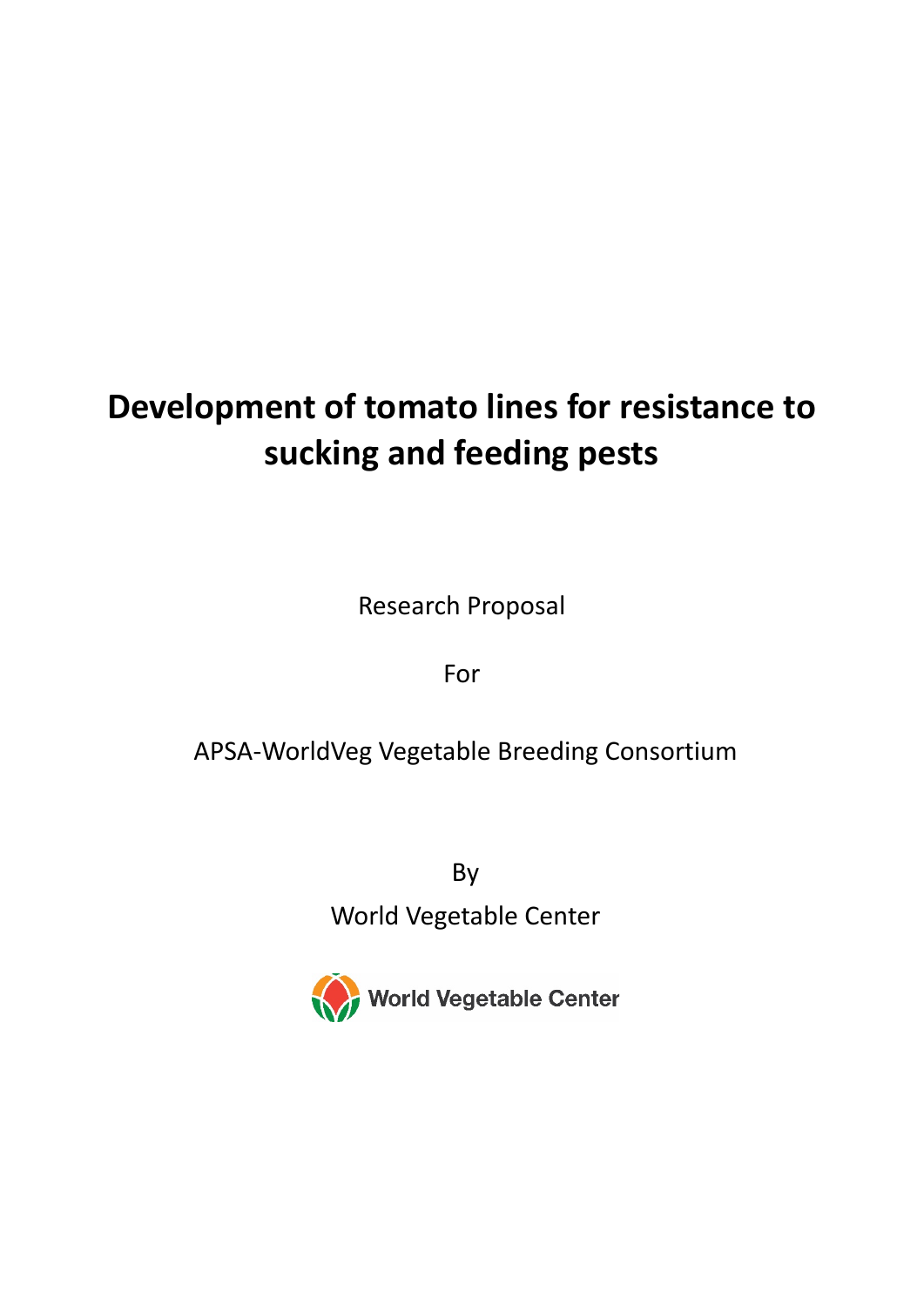# **Development of tomato lines for resistance to sucking and feeding pests**

Research Proposal

For

# APSA-WorldVeg Vegetable Breeding Consortium

By

World Vegetable Center

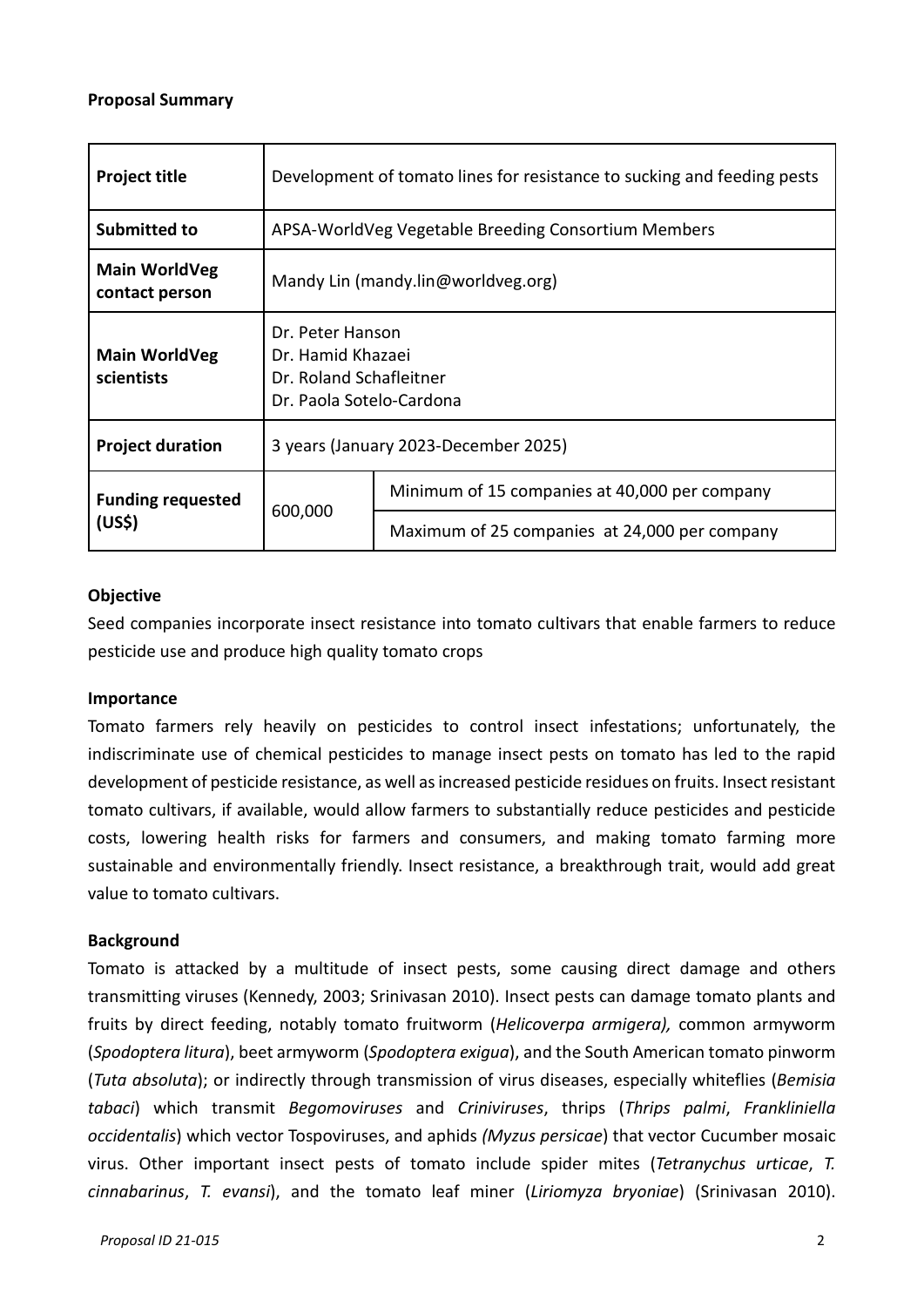#### **Proposal Summary**

| <b>Project title</b>                   | Development of tomato lines for resistance to sucking and feeding pests                      |                                               |  |  |  |
|----------------------------------------|----------------------------------------------------------------------------------------------|-----------------------------------------------|--|--|--|
| Submitted to                           | APSA-WorldVeg Vegetable Breeding Consortium Members                                          |                                               |  |  |  |
| <b>Main WorldVeg</b><br>contact person | Mandy Lin (mandy.lin@worldveg.org)                                                           |                                               |  |  |  |
| <b>Main WorldVeg</b><br>scientists     | Dr. Peter Hanson<br>Dr. Hamid Khazaei<br>Dr. Roland Schafleitner<br>Dr. Paola Sotelo-Cardona |                                               |  |  |  |
| <b>Project duration</b>                | 3 years (January 2023-December 2025)                                                         |                                               |  |  |  |
| <b>Funding requested</b><br>(US\$)     | 600,000                                                                                      | Minimum of 15 companies at 40,000 per company |  |  |  |
|                                        |                                                                                              | Maximum of 25 companies at 24,000 per company |  |  |  |

#### **Objective**

Seed companies incorporate insect resistance into tomato cultivars that enable farmers to reduce pesticide use and produce high quality tomato crops

#### **Importance**

Tomato farmers rely heavily on pesticides to control insect infestations; unfortunately, the indiscriminate use of chemical pesticides to manage insect pests on tomato has led to the rapid development of pesticide resistance, as well as increased pesticide residues on fruits. Insect resistant tomato cultivars, if available, would allow farmers to substantially reduce pesticides and pesticide costs, lowering health risks for farmers and consumers, and making tomato farming more sustainable and environmentally friendly. Insect resistance, a breakthrough trait, would add great value to tomato cultivars.

#### **Background**

Tomato is attacked by a multitude of insect pests, some causing direct damage and others transmitting viruses (Kennedy, 2003; Srinivasan 2010). Insect pests can damage tomato plants and fruits by direct feeding, notably tomato fruitworm (*Helicoverpa armigera),* common armyworm (*Spodoptera litura*), beet armyworm (*Spodoptera exigua*), and the South American tomato pinworm (*Tuta absoluta*); or indirectly through transmission of virus diseases, especially whiteflies (*Bemisia tabaci*) which transmit *Begomoviruses* and *Criniviruses*, thrips (*Thrips palmi*, *Frankliniella occidentalis*) which vector Tospoviruses, and aphids *(Myzus persicae*) that vector Cucumber mosaic virus. Other important insect pests of tomato include spider mites (*Tetranychus urticae*, *T. cinnabarinus*, *T. evansi*), and the tomato leaf miner (*Liriomyza bryoniae*) (Srinivasan 2010).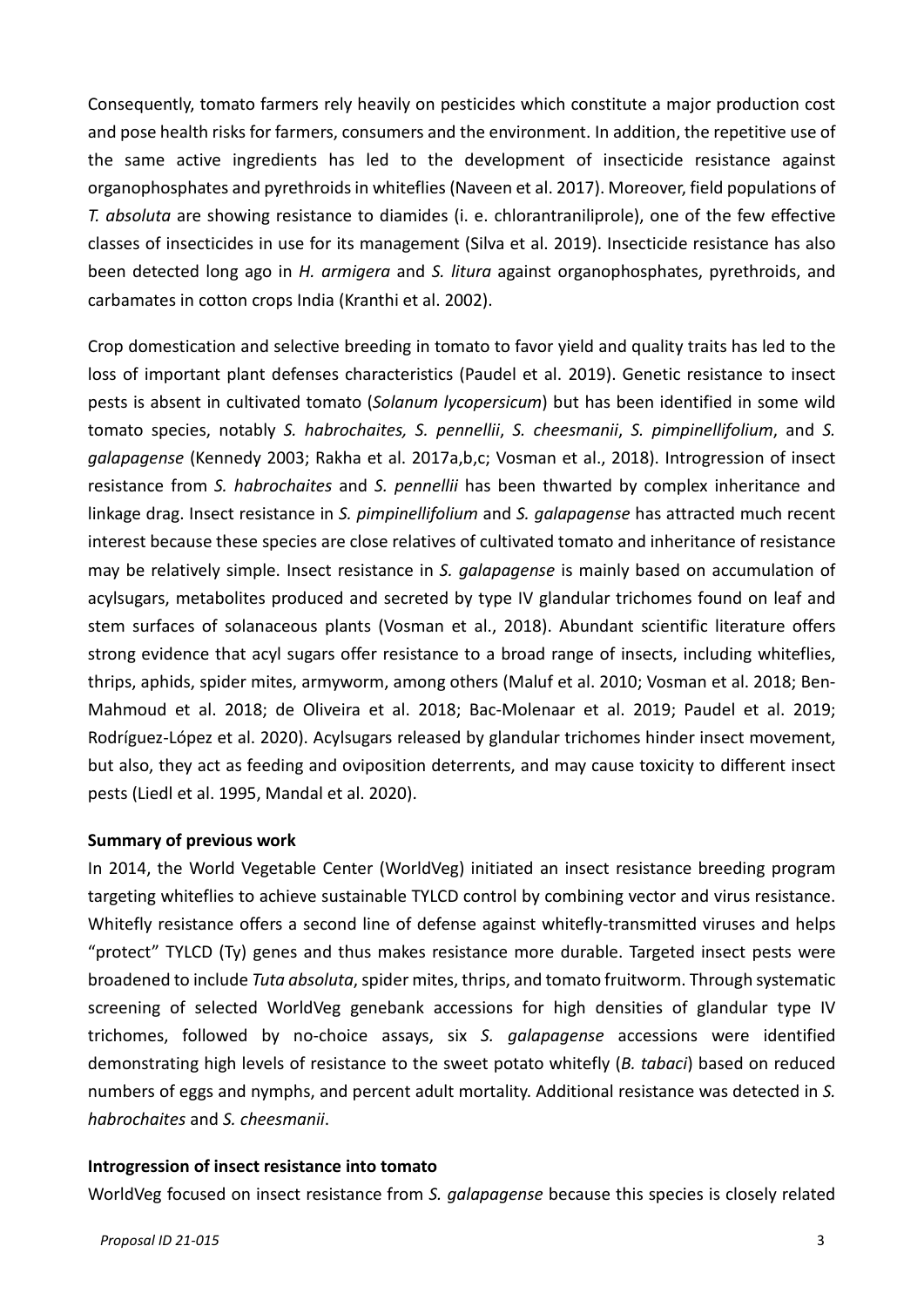Consequently, tomato farmers rely heavily on pesticides which constitute a major production cost and pose health risks for farmers, consumers and the environment. In addition, the repetitive use of the same active ingredients has led to the development of insecticide resistance against organophosphates and pyrethroids in whiteflies (Naveen et al. 2017). Moreover, field populations of *T. absoluta* are showing resistance to diamides (i. e. chlorantraniliprole), one of the few effective classes of insecticides in use for its management (Silva et al. 2019). Insecticide resistance has also been detected long ago in *H. armigera* and *S. litura* against organophosphates, pyrethroids, and carbamates in cotton crops India (Kranthi et al. 2002).

Crop domestication and selective breeding in tomato to favor yield and quality traits has led to the loss of important plant defenses characteristics (Paudel et al. 2019). Genetic resistance to insect pests is absent in cultivated tomato (*Solanum lycopersicum*) but has been identified in some wild tomato species, notably *S. habrochaites, S. pennellii*, *S. cheesmanii*, *S. pimpinellifolium*, and *S. galapagense* (Kennedy 2003; Rakha et al. 2017a,b,c; Vosman et al., 2018). Introgression of insect resistance from *S. habrochaites* and *S. pennellii* has been thwarted by complex inheritance and linkage drag. Insect resistance in *S. pimpinellifolium* and *S. galapagense* has attracted much recent interest because these species are close relatives of cultivated tomato and inheritance of resistance may be relatively simple. Insect resistance in *S. galapagense* is mainly based on accumulation of acylsugars, metabolites produced and secreted by type IV glandular trichomes found on leaf and stem surfaces of solanaceous plants (Vosman et al., 2018). Abundant scientific literature offers strong evidence that acyl sugars offer resistance to a broad range of insects, including whiteflies, thrips, aphids, spider mites, armyworm, among others (Maluf et al. 2010; Vosman et al. 2018; Ben-Mahmoud et al. 2018; de Oliveira et al. 2018; Bac-Molenaar et al. 2019; Paudel et al. 2019; Rodríguez-López et al. 2020). Acylsugars released by glandular trichomes hinder insect movement, but also, they act as feeding and oviposition deterrents, and may cause toxicity to different insect pests (Liedl et al. 1995, Mandal et al. 2020).

#### **Summary of previous work**

In 2014, the World Vegetable Center (WorldVeg) initiated an insect resistance breeding program targeting whiteflies to achieve sustainable TYLCD control by combining vector and virus resistance. Whitefly resistance offers a second line of defense against whitefly-transmitted viruses and helps "protect" TYLCD (Ty) genes and thus makes resistance more durable. Targeted insect pests were broadened to include *Tuta absoluta*, spider mites, thrips, and tomato fruitworm. Through systematic screening of selected WorldVeg genebank accessions for high densities of glandular type IV trichomes, followed by no-choice assays, six *S. galapagense* accessions were identified demonstrating high levels of resistance to the sweet potato whitefly (*B. tabaci*) based on reduced numbers of eggs and nymphs, and percent adult mortality. Additional resistance was detected in *S. habrochaites* and *S. cheesmanii*.

#### **Introgression of insect resistance into tomato**

WorldVeg focused on insect resistance from *S. galapagense* because this species is closely related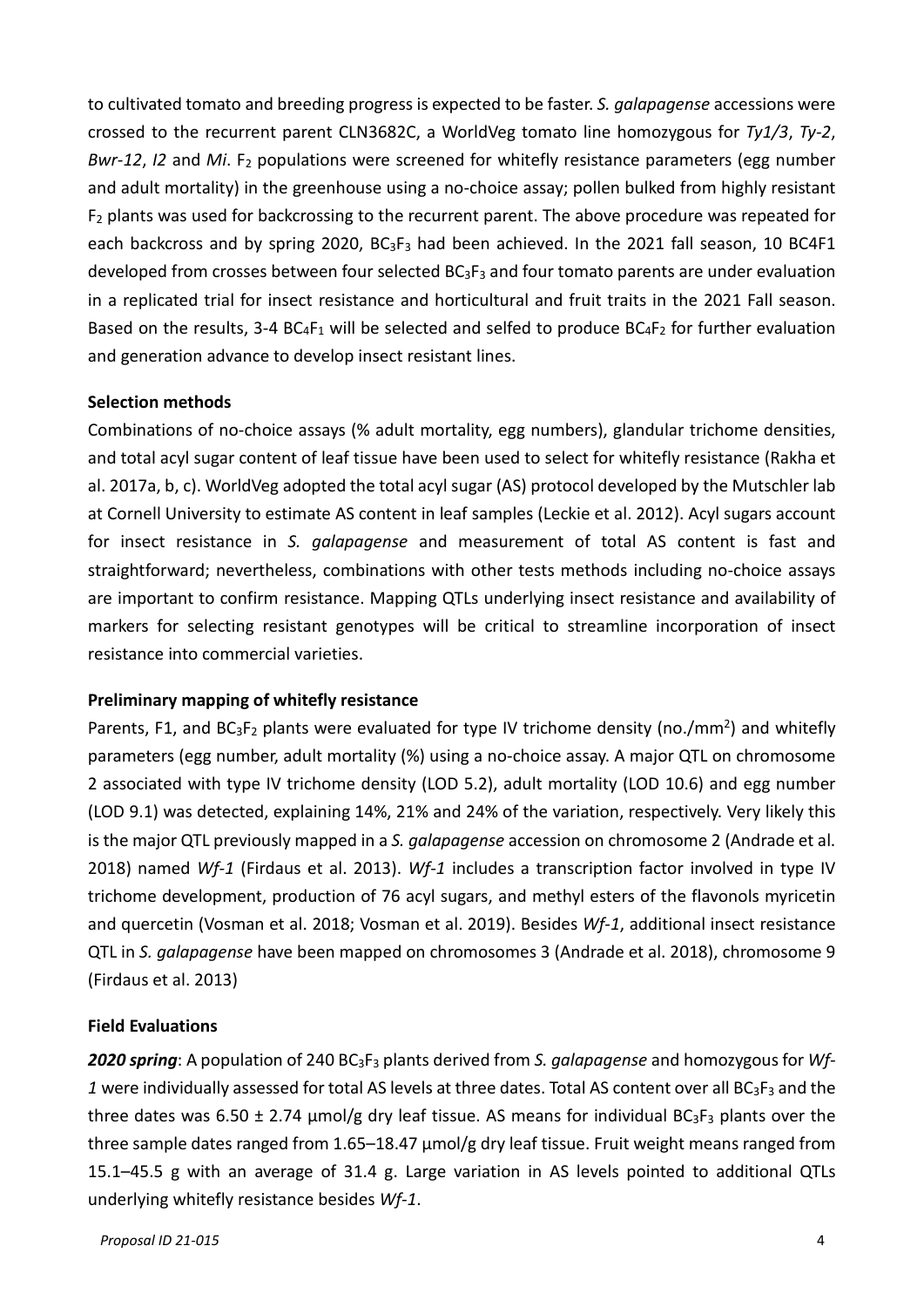to cultivated tomato and breeding progress is expected to be faster. *S. galapagense* accessions were crossed to the recurrent parent CLN3682C, a WorldVeg tomato line homozygous for *Ty1/3*, *Ty-2*, *Bwr-12, I2* and *Mi*. F<sub>2</sub> populations were screened for whitefly resistance parameters (egg number and adult mortality) in the greenhouse using a no-choice assay; pollen bulked from highly resistant F2 plants was used for backcrossing to the recurrent parent. The above procedure was repeated for each backcross and by spring 2020,  $BG_3F_3$  had been achieved. In the 2021 fall season, 10 BC4F1 developed from crosses between four selected BC3F3 and four tomato parents are under evaluation in a replicated trial for insect resistance and horticultural and fruit traits in the 2021 Fall season. Based on the results, 3-4  $BC_4F_1$  will be selected and selfed to produce  $BC_4F_2$  for further evaluation and generation advance to develop insect resistant lines.

#### **Selection methods**

Combinations of no-choice assays (% adult mortality, egg numbers), glandular trichome densities, and total acyl sugar content of leaf tissue have been used to select for whitefly resistance (Rakha et al. 2017a, b, c). WorldVeg adopted the total acyl sugar (AS) protocol developed by the Mutschler lab at Cornell University to estimate AS content in leaf samples (Leckie et al. 2012). Acyl sugars account for insect resistance in *S. galapagense* and measurement of total AS content is fast and straightforward; nevertheless, combinations with other tests methods including no-choice assays are important to confirm resistance. Mapping QTLs underlying insect resistance and availability of markers for selecting resistant genotypes will be critical to streamline incorporation of insect resistance into commercial varieties.

#### **Preliminary mapping of whitefly resistance**

Parents, F1, and  $BC_3F_2$  plants were evaluated for type IV trichome density (no./mm<sup>2</sup>) and whitefly parameters (egg number, adult mortality (%) using a no-choice assay. A major QTL on chromosome 2 associated with type IV trichome density (LOD 5.2), adult mortality (LOD 10.6) and egg number (LOD 9.1) was detected, explaining 14%, 21% and 24% of the variation, respectively. Very likely this is the major QTL previously mapped in a *S. galapagense* accession on chromosome 2 (Andrade et al. 2018) named *Wf-1* (Firdaus et al. 2013). *Wf-1* includes a transcription factor involved in type IV trichome development, production of 76 acyl sugars, and methyl esters of the flavonols myricetin and quercetin (Vosman et al. 2018; Vosman et al. 2019). Besides *Wf-1*, additional insect resistance QTL in *S. galapagense* have been mapped on chromosomes 3 (Andrade et al. 2018), chromosome 9 (Firdaus et al. 2013)

#### **Field Evaluations**

*2020 spring*: A population of 240 BC3F3 plants derived from *S. galapagense* and homozygous for *Wf-1* were individually assessed for total AS levels at three dates. Total AS content over all BC3F3 and the three dates was 6.50  $\pm$  2.74 µmol/g dry leaf tissue. AS means for individual BC<sub>3</sub>F<sub>3</sub> plants over the three sample dates ranged from 1.65–18.47 μmol/g dry leaf tissue. Fruit weight means ranged from 15.1–45.5 g with an average of 31.4 g. Large variation in AS levels pointed to additional QTLs underlying whitefly resistance besides *Wf-1*.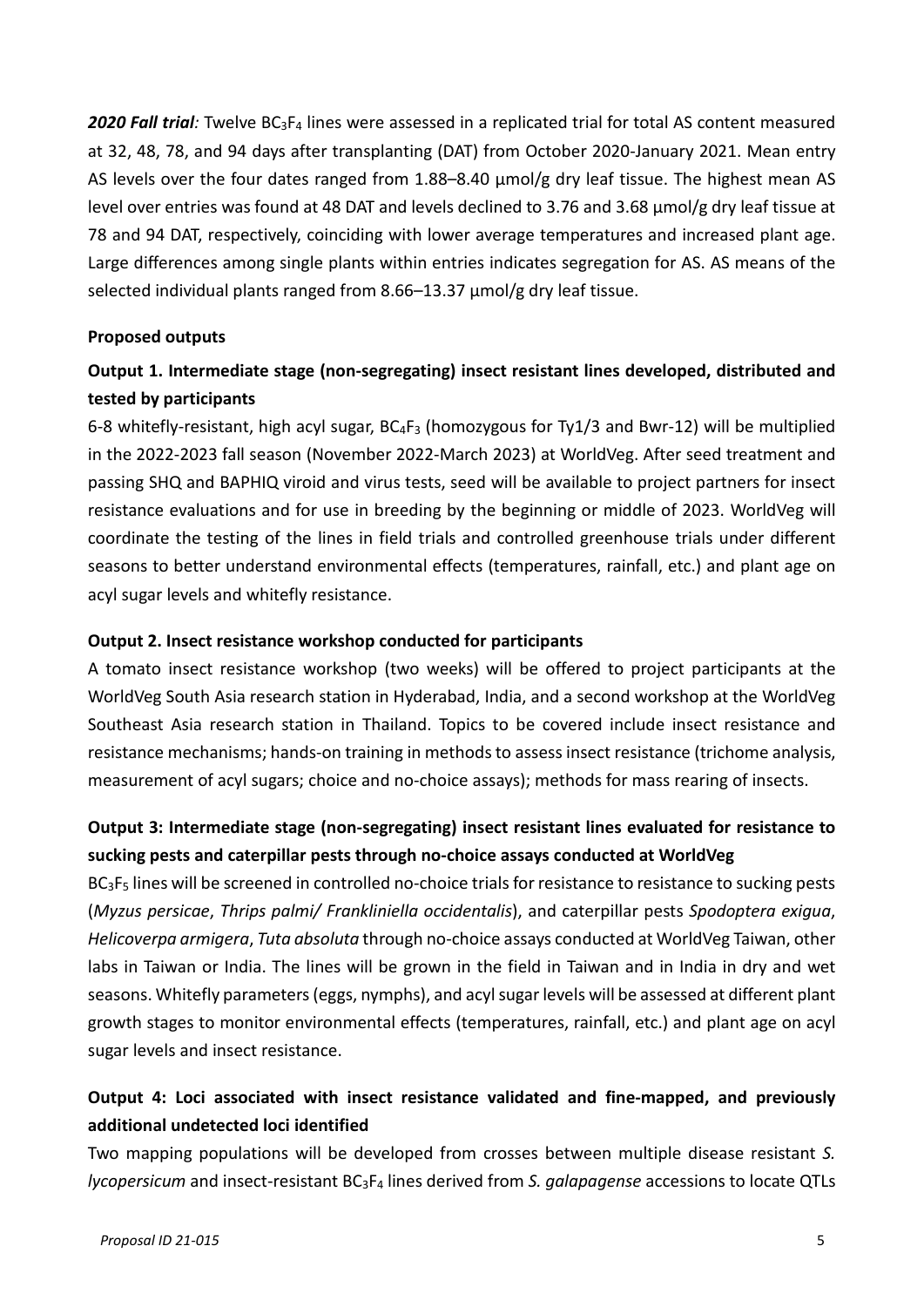*2020 Fall trial:* Twelve BC3F4 lines were assessed in a replicated trial for total AS content measured at 32, 48, 78, and 94 days after transplanting (DAT) from October 2020-January 2021. Mean entry AS levels over the four dates ranged from 1.88–8.40 μmol/g dry leaf tissue. The highest mean AS level over entries was found at 48 DAT and levels declined to 3.76 and 3.68 μmol/g dry leaf tissue at 78 and 94 DAT, respectively, coinciding with lower average temperatures and increased plant age. Large differences among single plants within entries indicates segregation for AS. AS means of the selected individual plants ranged from 8.66–13.37 μmol/g dry leaf tissue.

#### **Proposed outputs**

# **Output 1. Intermediate stage (non-segregating) insect resistant lines developed, distributed and tested by participants**

6-8 whitefly-resistant, high acyl sugar,  $BC_4F_3$  (homozygous for Ty1/3 and Bwr-12) will be multiplied in the 2022-2023 fall season (November 2022-March 2023) at WorldVeg. After seed treatment and passing SHQ and BAPHIQ viroid and virus tests, seed will be available to project partners for insect resistance evaluations and for use in breeding by the beginning or middle of 2023. WorldVeg will coordinate the testing of the lines in field trials and controlled greenhouse trials under different seasons to better understand environmental effects (temperatures, rainfall, etc.) and plant age on acyl sugar levels and whitefly resistance.

#### **Output 2. Insect resistance workshop conducted for participants**

A tomato insect resistance workshop (two weeks) will be offered to project participants at the WorldVeg South Asia research station in Hyderabad, India, and a second workshop at the WorldVeg Southeast Asia research station in Thailand. Topics to be covered include insect resistance and resistance mechanisms; hands-on training in methods to assess insect resistance (trichome analysis, measurement of acyl sugars; choice and no-choice assays); methods for mass rearing of insects.

# **Output 3: Intermediate stage (non-segregating) insect resistant lines evaluated for resistance to sucking pests and caterpillar pests through no-choice assays conducted at WorldVeg**

BC<sub>3</sub>F<sub>5</sub> lines will be screened in controlled no-choice trials for resistance to resistance to sucking pests (*Myzus persicae*, *Thrips palmi/ Frankliniella occidentalis*), and caterpillar pests *Spodoptera exigua*, *Helicoverpa armigera*, *Tuta absoluta* through no-choice assays conducted at WorldVeg Taiwan, other labs in Taiwan or India. The lines will be grown in the field in Taiwan and in India in dry and wet seasons. Whitefly parameters (eggs, nymphs), and acyl sugar levels will be assessed at different plant growth stages to monitor environmental effects (temperatures, rainfall, etc.) and plant age on acyl sugar levels and insect resistance.

# **Output 4: Loci associated with insect resistance validated and fine-mapped, and previously additional undetected loci identified**

Two mapping populations will be developed from crosses between multiple disease resistant *S. lycopersicum* and insect-resistant BC3F4 lines derived from *S. galapagense* accessions to locate QTLs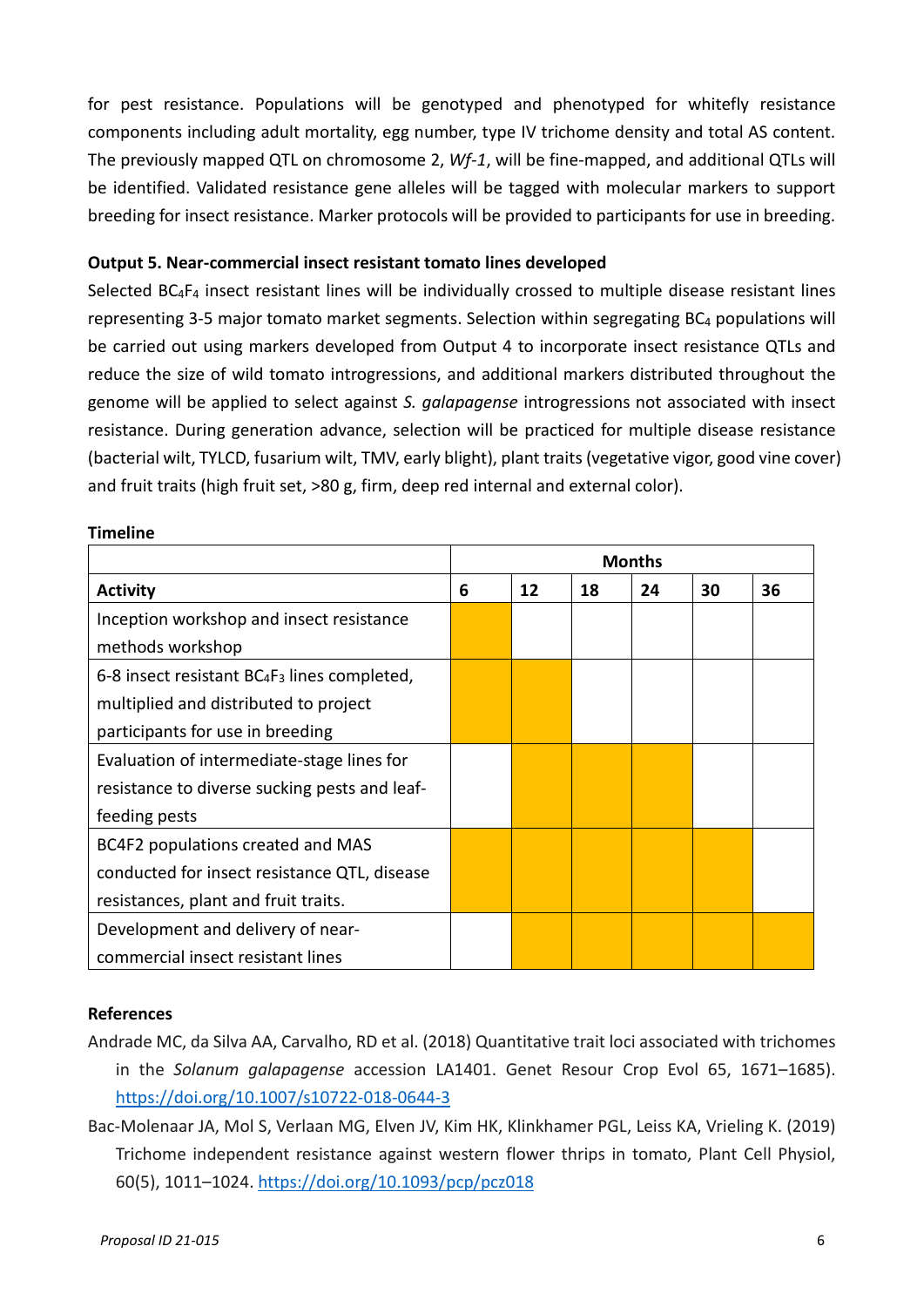for pest resistance. Populations will be genotyped and phenotyped for whitefly resistance components including adult mortality, egg number, type IV trichome density and total AS content. The previously mapped QTL on chromosome 2, *Wf-1*, will be fine-mapped, and additional QTLs will be identified. Validated resistance gene alleles will be tagged with molecular markers to support breeding for insect resistance. Marker protocols will be provided to participants for use in breeding.

#### **Output 5. Near-commercial insect resistant tomato lines developed**

Selected BC4F4 insect resistant lines will be individually crossed to multiple disease resistant lines representing 3-5 major tomato market segments. Selection within segregating BC4 populations will be carried out using markers developed from Output 4 to incorporate insect resistance QTLs and reduce the size of wild tomato introgressions, and additional markers distributed throughout the genome will be applied to select against *S. galapagense* introgressions not associated with insect resistance. During generation advance, selection will be practiced for multiple disease resistance (bacterial wilt, TYLCD, fusarium wilt, TMV, early blight), plant traits (vegetative vigor, good vine cover) and fruit traits (high fruit set, >80 g, firm, deep red internal and external color).

|                                                 | <b>Months</b> |    |    |    |    |    |
|-------------------------------------------------|---------------|----|----|----|----|----|
| <b>Activity</b>                                 |               | 12 | 18 | 24 | 30 | 36 |
| Inception workshop and insect resistance        |               |    |    |    |    |    |
| methods workshop                                |               |    |    |    |    |    |
| 6-8 insect resistant $BC_4F_3$ lines completed, |               |    |    |    |    |    |
| multiplied and distributed to project           |               |    |    |    |    |    |
| participants for use in breeding                |               |    |    |    |    |    |
| Evaluation of intermediate-stage lines for      |               |    |    |    |    |    |
| resistance to diverse sucking pests and leaf-   |               |    |    |    |    |    |
| feeding pests                                   |               |    |    |    |    |    |
| BC4F2 populations created and MAS               |               |    |    |    |    |    |
| conducted for insect resistance QTL, disease    |               |    |    |    |    |    |
| resistances, plant and fruit traits.            |               |    |    |    |    |    |
| Development and delivery of near-               |               |    |    |    |    |    |
| commercial insect resistant lines               |               |    |    |    |    |    |

#### **Timeline**

#### **References**

- Andrade MC, da Silva AA, Carvalho, RD et al. (2018) Quantitative trait loci associated with trichomes in the *Solanum galapagense* accession LA1401. Genet Resour Crop Evol 65, 1671–1685). <https://doi.org/10.1007/s10722-018-0644-3>
- Bac-Molenaar JA, Mol S, Verlaan MG, Elven JV, Kim HK, Klinkhamer PGL, Leiss KA, Vrieling K. (2019) Trichome independent resistance against western flower thrips in tomato, Plant Cell Physiol, 60(5), 1011–1024.<https://doi.org/10.1093/pcp/pcz018>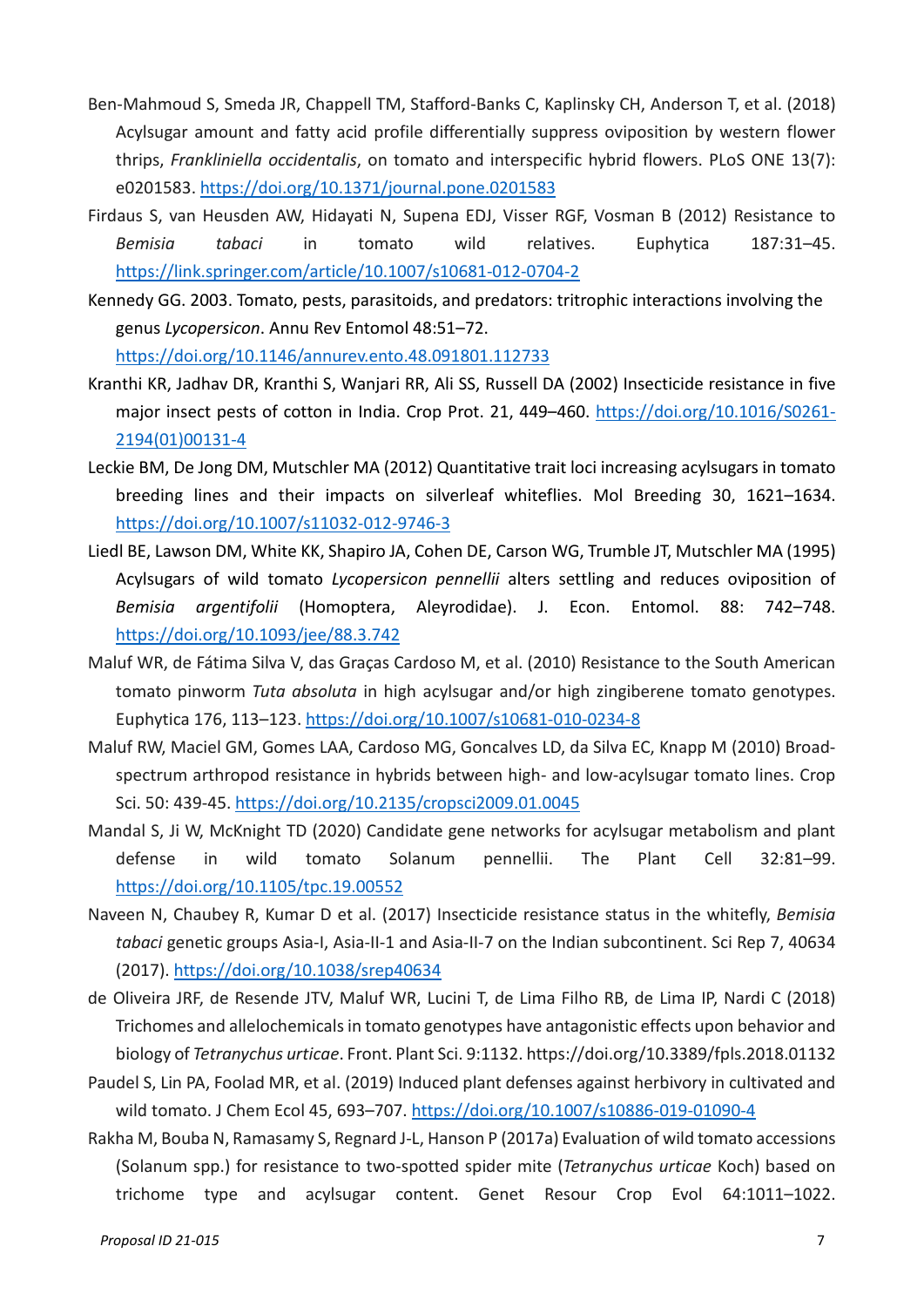- Ben-Mahmoud S, Smeda JR, Chappell TM, Stafford-Banks C, Kaplinsky CH, Anderson T, et al. (2018) Acylsugar amount and fatty acid profile differentially suppress oviposition by western flower thrips, *Frankliniella occidentalis*, on tomato and interspecific hybrid flowers. PLoS ONE 13(7): e0201583.<https://doi.org/10.1371/journal.pone.0201583>
- Firdaus S, van Heusden AW, Hidayati N, Supena EDJ, Visser RGF, Vosman B (2012) Resistance to *Bemisia tabaci* in tomato wild relatives. Euphytica 187:31–45. <https://link.springer.com/article/10.1007/s10681-012-0704-2>
- Kennedy GG. 2003. Tomato, pests, parasitoids, and predators: tritrophic interactions involving the genus *Lycopersicon*. Annu Rev Entomol 48:51–72.

<https://doi.org/10.1146/annurev.ento.48.091801.112733>

- Kranthi KR, Jadhav DR, Kranthi S, Wanjari RR, Ali SS, Russell DA (2002) Insecticide resistance in five major insect pests of cotton in India. Crop Prot. 21, 449-460. [https://doi.org/10.1016/S0261-](https://doi.org/10.1016/S0261-2194(01)00131-4) [2194\(01\)00131-4](https://doi.org/10.1016/S0261-2194(01)00131-4)
- Leckie BM, De Jong DM, Mutschler MA (2012) Quantitative trait loci increasing acylsugars in tomato breeding lines and their impacts on silverleaf whiteflies. Mol Breeding 30, 1621–1634. <https://doi.org/10.1007/s11032-012-9746-3>
- Liedl BE, Lawson DM, White KK, Shapiro JA, Cohen DE, Carson WG, Trumble JT, Mutschler MA (1995) Acylsugars of wild tomato *Lycopersicon pennellii* alters settling and reduces oviposition of *Bemisia argentifolii* (Homoptera, Aleyrodidae). J. Econ. Entomol. 88: 742–748. <https://doi.org/10.1093/jee/88.3.742>
- Maluf WR, de Fátima Silva V, das Graças Cardoso M, et al. (2010) Resistance to the South American tomato pinworm *Tuta absoluta* in high acylsugar and/or high zingiberene tomato genotypes. Euphytica 176, 113–123.<https://doi.org/10.1007/s10681-010-0234-8>
- Maluf RW, Maciel GM, Gomes LAA, Cardoso MG, Goncalves LD, da Silva EC, Knapp M (2010) Broadspectrum arthropod resistance in hybrids between high- and low-acylsugar tomato lines. Crop Sci. 50: 439-45[. https://doi.org/10.2135/cropsci2009.01.0045](https://doi.org/10.2135/cropsci2009.01.0045)
- Mandal S, Ji W, McKnight TD (2020) Candidate gene networks for acylsugar metabolism and plant defense in wild tomato Solanum pennellii. The Plant Cell 32:81–99. <https://doi.org/10.1105/tpc.19.00552>
- Naveen N, Chaubey R, Kumar D et al. (2017) Insecticide resistance status in the whitefly, *Bemisia tabaci* genetic groups Asia-I, Asia-II-1 and Asia-II-7 on the Indian subcontinent. Sci Rep 7, 40634 (2017).<https://doi.org/10.1038/srep40634>
- de Oliveira JRF, de Resende JTV, Maluf WR, Lucini T, de Lima Filho RB, de Lima IP, Nardi C (2018) Trichomes and allelochemicals in tomato genotypes have antagonistic effects upon behavior and biology of *Tetranychus urticae*. Front. Plant Sci. 9:1132. https://doi.org/10.3389/fpls.2018.01132
- Paudel S, Lin PA, Foolad MR, et al. (2019) Induced plant defenses against herbivory in cultivated and wild tomato. J Chem Ecol 45, 693–707.<https://doi.org/10.1007/s10886-019-01090-4>
- Rakha M, Bouba N, Ramasamy S, Regnard J-L, Hanson P (2017a) Evaluation of wild tomato accessions (Solanum spp.) for resistance to two-spotted spider mite (*Tetranychus urticae* Koch) based on trichome type and acylsugar content. Genet Resour Crop Evol 64:1011–1022.